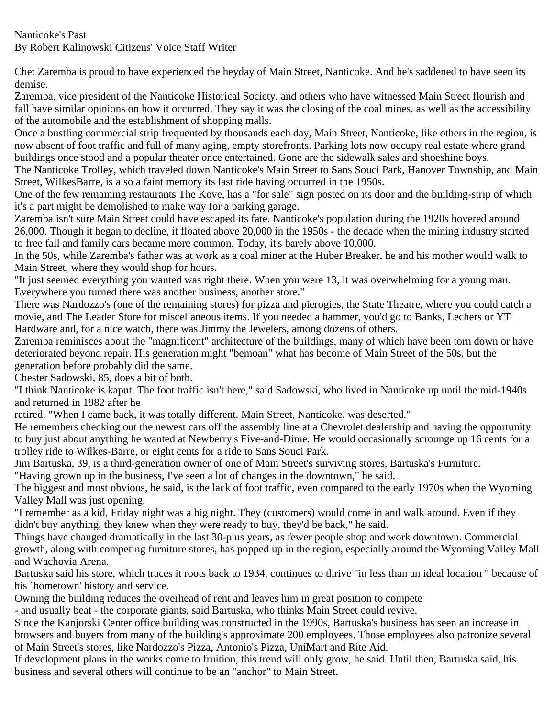## Nanticoke's Past By Robert Kalinowski Citizens' Voice Staff Writer

Chet Zaremba is proud to have experienced the heyday of Main Street, Nanticoke. And he's saddened to have seen its demise.

Zaremba, vice president of the Nanticoke Historical Society, and others who have witnessed Main Street flourish and fall have similar opinions on how it occurred. They say it was the closing of the coal mines, as well as the accessibility of the automobile and the establishment of shopping malls.

Once a bustling commercial strip frequented by thousands each day, Main Street, Nanticoke, like others in the region, is now absent of foot traffic and full of many aging, empty storefronts. Parking lots now occupy real estate where grand buildings once stood and a popular theater once entertained. Gone are the sidewalk sales and shoeshine boys.

The Nanticoke Trolley, which traveled down Nanticoke's Main Street to Sans Souci Park, Hanover Township, and Main Street, WilkesBarre, is also a faint memory its last ride having occurred in the 1950s.

One of the few remaining restaurants The Kove, has a "for sale" sign posted on its door and the building-strip of which it's a part might be demolished to make way for a parking garage.

Zaremba isn't sure Main Street could have escaped its fate. Nanticoke's population during the 1920s hovered around 26,000. Though it began to decline, it floated above 20,000 in the 1950s - the decade when the mining industry started to free fall and family cars became more common. Today, it's barely above 10,000.

In the 50s, while Zaremba's father was at work as a coal miner at the Huber Breaker, he and his mother would walk to Main Street, where they would shop for hours.

"It just seemed everything you wanted was right there. When you were 13, it was overwhelming for a young man. Everywhere you turned there was another business, another store."

There was Nardozzo's (one of the remaining stores) for pizza and pierogies, the State Theatre, where you could catch a movie, and The Leader Store for miscellaneous items. If you needed a hammer, you'd go to Banks, Lechers or YT Hardware and, for a nice watch, there was Jimmy the Jewelers, among dozens of others.

Zaremba reminisces about the "magnificent" architecture of the buildings, many of which have been torn down or have deteriorated beyond repair. His generation might "bemoan" what has become of Main Street of the 50s, but the generation before probably did the same.

Chester Sadowski, 85, does a bit of both.

"I think Nanticoke is kaput. The foot traffic isn't here," said Sadowski, who lived in Nanticoke up until the mid-1940s and returned in 1982 after he

retired. "When I came back, it was totally different. Main Street, Nanticoke, was deserted."

He remembers checking out the newest cars off the assembly line at a Chevrolet dealership and having the opportunity to buy just about anything he wanted at Newberry's Five-and-Dime. He would occasionally scrounge up 16 cents for a trolley ride to Wilkes-Barre, or eight cents for a ride to Sans Souci Park.

Jim Bartuska, 39, is a third-generation owner of one of Main Street's surviving stores, Bartuska's Furniture.

"Having grown up in the business, I've seen a lot of changes in the downtown," he said.

The biggest and most obvious, he said, is the lack of foot traffic, even compared to the early 1970s when the Wyoming Valley Mall was just opening.

"I remember as a kid, Friday night was a big night. They (customers) would come in and walk around. Even if they didn't buy anything, they knew when they were ready to buy, they'd be back," he said.

Things have changed dramatically in the last 30-plus years, as fewer people shop and work downtown. Commercial growth, along with competing furniture stores, has popped up in the region, especially around the Wyoming Valley Mall and Wachovia Arena.

Bartuska said his store, which traces it roots back to 1934, continues to thrive "in less than an ideal location " because of his `hometown' history and service.

Owning the building reduces the overhead of rent and leaves him in great position to compete

- and usually beat - the corporate giants, said Bartuska, who thinks Main Street could revive.

Since the Kanjorski Center office building was constructed in the 1990s, Bartuska's business has seen an increase in browsers and buyers from many of the building's approximate 200 employees. Those employees also patronize several of Main Street's stores, like Nardozzo's Pizza, Antonio's Pizza, UniMart and Rite Aid.

If development plans in the works come to fruition, this trend will only grow, he said. Until then, Bartuska said, his business and several others will continue to be an "anchor" to Main Street.